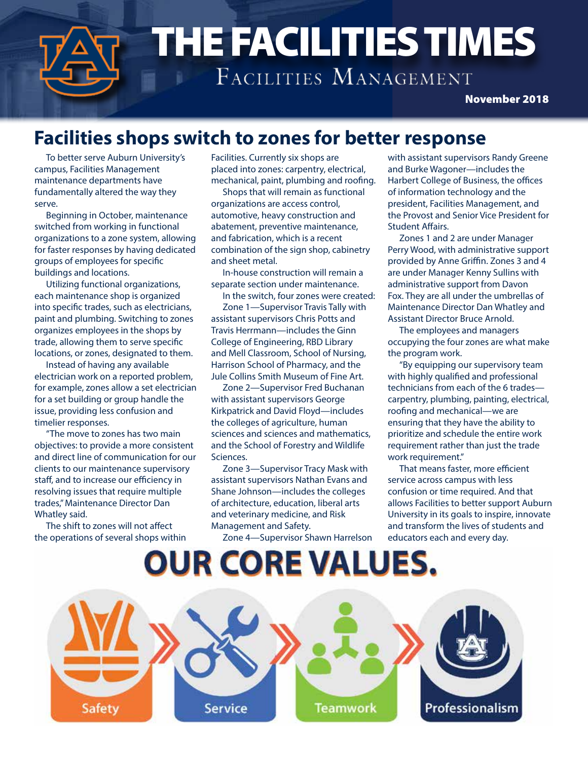## THE FACILITIES TIMES November 2018

## **Facilities shops switch to zones for better response**

To better serve Auburn University's campus, Facilities Management maintenance departments have fundamentally altered the way they serve.

Beginning in October, maintenance switched from working in functional organizations to a zone system, allowing for faster responses by having dedicated groups of employees for specific buildings and locations.

Utilizing functional organizations, each maintenance shop is organized into specific trades, such as electricians, paint and plumbing. Switching to zones organizes employees in the shops by trade, allowing them to serve specific locations, or zones, designated to them.

Instead of having any available electrician work on a reported problem, for example, zones allow a set electrician for a set building or group handle the issue, providing less confusion and timelier responses.

"The move to zones has two main objectives: to provide a more consistent and direct line of communication for our clients to our maintenance supervisory staff, and to increase our efficiency in resolving issues that require multiple trades," Maintenance Director Dan Whatley said.

The shift to zones will not affect the operations of several shops within Facilities. Currently six shops are placed into zones: carpentry, electrical, mechanical, paint, plumbing and roofing.

Shops that will remain as functional organizations are access control, automotive, heavy construction and abatement, preventive maintenance, and fabrication, which is a recent combination of the sign shop, cabinetry and sheet metal.

In-house construction will remain a separate section under maintenance.

In the switch, four zones were created: Zone 1—Supervisor Travis Tally with assistant supervisors Chris Potts and Travis Herrmann—includes the Ginn College of Engineering, RBD Library and Mell Classroom, School of Nursing, Harrison School of Pharmacy, and the Jule Collins Smith Museum of Fine Art.

Zone 2—Supervisor Fred Buchanan with assistant supervisors George Kirkpatrick and David Floyd—includes the colleges of agriculture, human sciences and sciences and mathematics, and the School of Forestry and Wildlife Sciences.

Zone 3—Supervisor Tracy Mask with assistant supervisors Nathan Evans and Shane Johnson—includes the colleges of architecture, education, liberal arts and veterinary medicine, and Risk Management and Safety.

Zone 4—Supervisor Shawn Harrelson

with assistant supervisors Randy Greene and Burke Wagoner—includes the Harbert College of Business, the offices of information technology and the president, Facilities Management, and the Provost and Senior Vice President for Student Affairs.

Zones 1 and 2 are under Manager Perry Wood, with administrative support provided by Anne Griffin. Zones 3 and 4 are under Manager Kenny Sullins with administrative support from Davon Fox. They are all under the umbrellas of Maintenance Director Dan Whatley and Assistant Director Bruce Arnold.

The employees and managers occupying the four zones are what make the program work.

"By equipping our supervisory team with highly qualified and professional technicians from each of the 6 trades carpentry, plumbing, painting, electrical, roofing and mechanical—we are ensuring that they have the ability to prioritize and schedule the entire work requirement rather than just the trade work requirement."

That means faster, more efficient service across campus with less confusion or time required. And that allows Facilities to better support Auburn University in its goals to inspire, innovate and transform the lives of students and educators each and every day.

## **OUR CORE VALUES.**

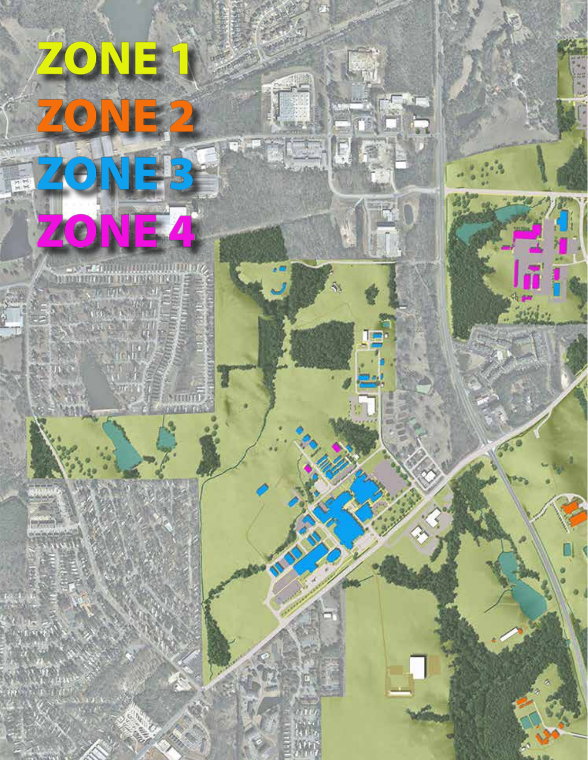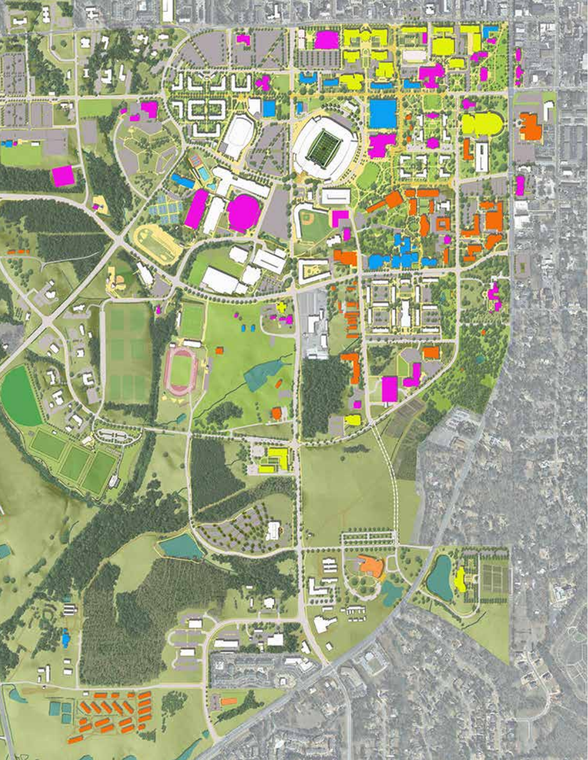